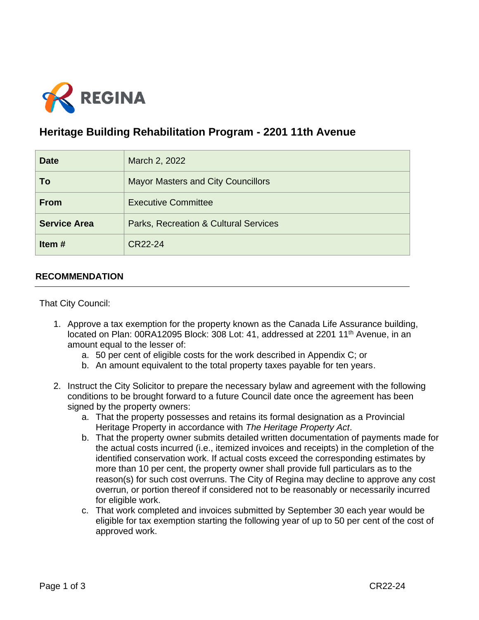

## **Heritage Building Rehabilitation Program - 2201 11th Avenue**

| <b>Date</b>         | March 2, 2022                             |
|---------------------|-------------------------------------------|
| To                  | <b>Mayor Masters and City Councillors</b> |
| <b>From</b>         | <b>Executive Committee</b>                |
| <b>Service Area</b> | Parks, Recreation & Cultural Services     |
| Item#               | CR22-24                                   |

## **RECOMMENDATION**

That City Council:

- 1. Approve a tax exemption for the property known as the Canada Life Assurance building, located on Plan: 00RA12095 Block: 308 Lot: 41, addressed at 2201 11<sup>th</sup> Avenue, in an amount equal to the lesser of:
	- a. 50 per cent of eligible costs for the work described in Appendix C; or
	- b. An amount equivalent to the total property taxes payable for ten years.
- 2. Instruct the City Solicitor to prepare the necessary bylaw and agreement with the following conditions to be brought forward to a future Council date once the agreement has been signed by the property owners:
	- a. That the property possesses and retains its formal designation as a Provincial Heritage Property in accordance with *The Heritage Property Act*.
	- b. That the property owner submits detailed written documentation of payments made for the actual costs incurred (i.e., itemized invoices and receipts) in the completion of the identified conservation work. If actual costs exceed the corresponding estimates by more than 10 per cent, the property owner shall provide full particulars as to the reason(s) for such cost overruns. The City of Regina may decline to approve any cost overrun, or portion thereof if considered not to be reasonably or necessarily incurred for eligible work.
	- c. That work completed and invoices submitted by September 30 each year would be eligible for tax exemption starting the following year of up to 50 per cent of the cost of approved work.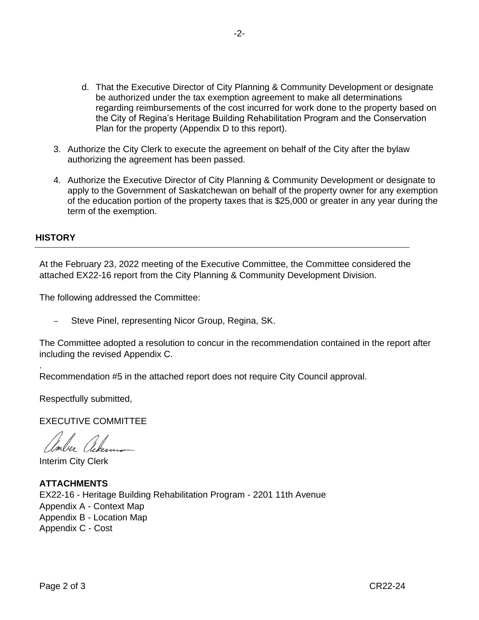- d. That the Executive Director of City Planning & Community Development or designate be authorized under the tax exemption agreement to make all determinations regarding reimbursements of the cost incurred for work done to the property based on the City of Regina's Heritage Building Rehabilitation Program and the Conservation Plan for the property (Appendix D to this report).
- 3. Authorize the City Clerk to execute the agreement on behalf of the City after the bylaw authorizing the agreement has been passed.
- 4. Authorize the Executive Director of City Planning & Community Development or designate to apply to the Government of Saskatchewan on behalf of the property owner for any exemption of the education portion of the property taxes that is \$25,000 or greater in any year during the term of the exemption.

## **HISTORY**

.

At the February 23, 2022 meeting of the Executive Committee, the Committee considered the attached EX22-16 report from the City Planning & Community Development Division.

The following addressed the Committee:

Steve Pinel, representing Nicor Group, Regina, SK.

The Committee adopted a resolution to concur in the recommendation contained in the report after including the revised Appendix C.

Recommendation #5 in the attached report does not require City Council approval.

Respectfully submitted,

EXECUTIVE COMMITTEE

Anber Ackerman

Interim City Clerk

## **ATTACHMENTS** EX22-16 - Heritage Building Rehabilitation Program - 2201 11th Avenue Appendix A - Context Map Appendix B - Location Map Appendix C - Cost